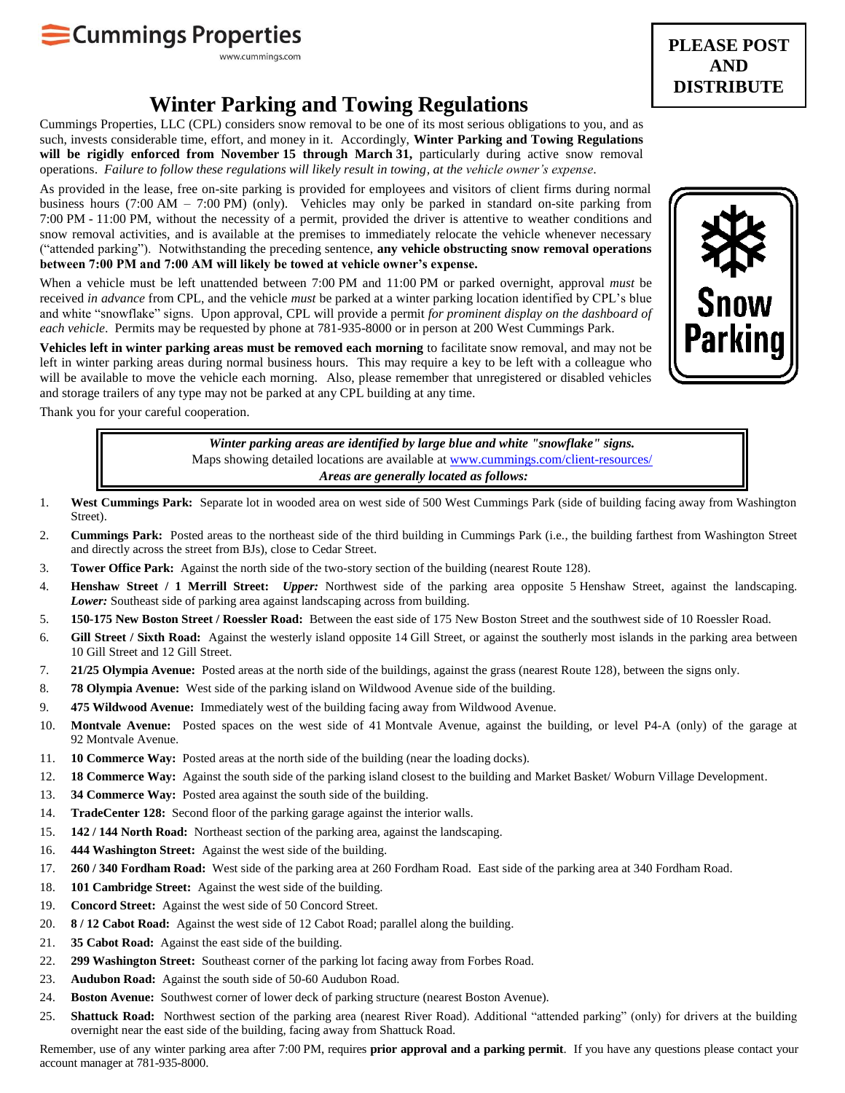## Cummings Properties

www.cummings.com

## **Winter Parking and Towing Regulations**

Cummings Properties, LLC (CPL) considers snow removal to be one of its most serious obligations to you, and as such, invests considerable time, effort, and money in it. Accordingly, **Winter Parking and Towing Regulations will be rigidly enforced from November 15 through March 31,** particularly during active snow removal operations. *Failure to follow these regulations will likely result in towing, at the vehicle owner's expense*.

As provided in the lease, free on-site parking is provided for employees and visitors of client firms during normal business hours (7:00 AM – 7:00 PM) (only). Vehicles may only be parked in standard on-site parking from 7:00 PM - 11:00 PM, without the necessity of a permit, provided the driver is attentive to weather conditions and snow removal activities, and is available at the premises to immediately relocate the vehicle whenever necessary ("attended parking"). Notwithstanding the preceding sentence, **any vehicle obstructing snow removal operations between 7:00 PM and 7:00 AM will likely be towed at vehicle owner's expense.** 

When a vehicle must be left unattended between 7:00 PM and 11:00 PM or parked overnight, approval *must* be received *in advance* from CPL, and the vehicle *must* be parked at a winter parking location identified by CPL's blue and white "snowflake" signs. Upon approval, CPL will provide a permit *for prominent display on the dashboard of each vehicle*. Permits may be requested by phone at 781-935-8000 or in person at 200 West Cummings Park.

**Vehicles left in winter parking areas must be removed each morning** to facilitate snow removal, and may not be left in winter parking areas during normal business hours. This may require a key to be left with a colleague who will be available to move the vehicle each morning. Also, please remember that unregistered or disabled vehicles and storage trailers of any type may not be parked at any CPL building at any time.

Thank you for your careful cooperation.

*Winter parking areas are identified by large blue and white "snowflake" signs.* Maps showing detailed locations are available at [www.cummings.com/client-resources/](http://www.cummings.com/client-resources/) *Areas are generally located as follows:*

- 1. **West Cummings Park:** Separate lot in wooded area on west side of 500 West Cummings Park (side of building facing away from Washington Street).
- 2. **Cummings Park:** Posted areas to the northeast side of the third building in Cummings Park (i.e., the building farthest from Washington Street and directly across the street from BJs), close to Cedar Street.
- 3. **Tower Office Park:** Against the north side of the two-story section of the building (nearest Route 128).
- 4. **Henshaw Street / 1 Merrill Street:** *Upper:* Northwest side of the parking area opposite 5 Henshaw Street, against the landscaping. *Lower:* Southeast side of parking area against landscaping across from building.
- 5. **150-175 New Boston Street / Roessler Road:** Between the east side of 175 New Boston Street and the southwest side of 10 Roessler Road.
- 6. **Gill Street / Sixth Road:** Against the westerly island opposite 14 Gill Street, or against the southerly most islands in the parking area between 10 Gill Street and 12 Gill Street.
- 7. **21/25 Olympia Avenue:** Posted areas at the north side of the buildings, against the grass (nearest Route 128), between the signs only.
- 8. **78 Olympia Avenue:** West side of the parking island on Wildwood Avenue side of the building.
- 9. **475 Wildwood Avenue:** Immediately west of the building facing away from Wildwood Avenue.
- 10. **Montvale Avenue:** Posted spaces on the west side of 41 Montvale Avenue, against the building, or level P4-A (only) of the garage at 92 Montvale Avenue.
- 11. **10 Commerce Way:** Posted areas at the north side of the building (near the loading docks).
- 12. **18 Commerce Way:** Against the south side of the parking island closest to the building and Market Basket/ Woburn Village Development.
- 13. **34 Commerce Way:** Posted area against the south side of the building.
- 14. **TradeCenter 128:** Second floor of the parking garage against the interior walls.
- 15. **142 / 144 North Road:** Northeast section of the parking area, against the landscaping.
- 16. **444 Washington Street:** Against the west side of the building.
- 17. **260 / 340 Fordham Road:** West side of the parking area at 260 Fordham Road. East side of the parking area at 340 Fordham Road.
- 18. **101 Cambridge Street:** Against the west side of the building.
- 19. **Concord Street:** Against the west side of 50 Concord Street.
- 20. **8 / 12 Cabot Road:** Against the west side of 12 Cabot Road; parallel along the building.
- 21. **35 Cabot Road:** Against the east side of the building.
- 22. **299 Washington Street:** Southeast corner of the parking lot facing away from Forbes Road.
- 23. **Audubon Road:** Against the south side of 50-60 Audubon Road.
- 24. **Boston Avenue:** Southwest corner of lower deck of parking structure (nearest Boston Avenue).
- 25. **Shattuck Road:** Northwest section of the parking area (nearest River Road). Additional "attended parking" (only) for drivers at the building overnight near the east side of the building, facing away from Shattuck Road.

Remember, use of any winter parking area after 7:00 PM, requires **prior approval and a parking permit**. If you have any questions please contact your account manager at 781-935-8000.